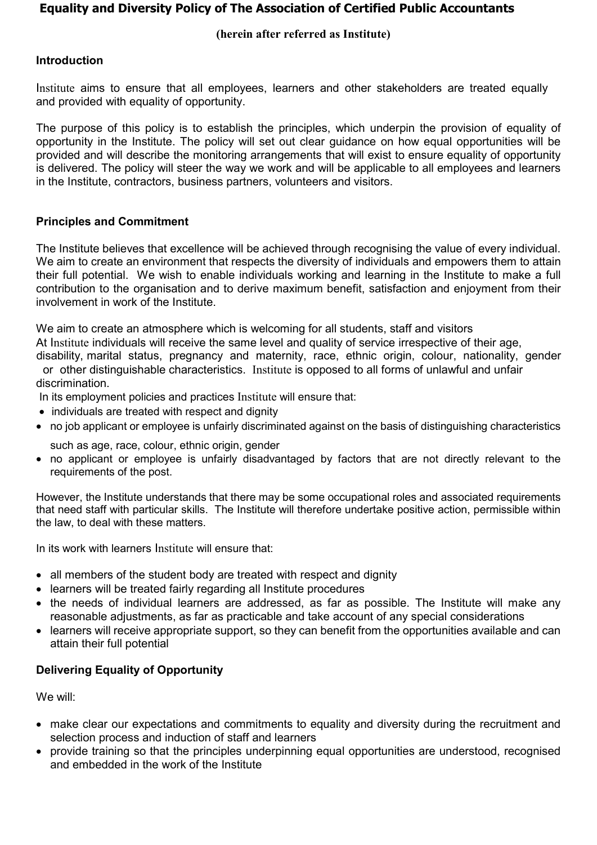# **Equality and Diversity Policy of The Association of Certified Public Accountants**

### **(herein after referred as Institute)**

## Introduction

Institute aims to ensure that all employees, learners and other stakeholders are treated equally and provided with equality of opportunity.

The purpose of this policy is to establish the principles, which underpin the provision of equality of opportunity in the Institute. The policy will set out clear guidance on how equal opportunities will be provided and will describe the monitoring arrangements that will exist to ensure equality of opportunity is delivered. The policy will steer the way we work and will be applicable to all employees and learners in the Institute, contractors, business partners, volunteers and visitors.

#### Principles and Commitment

The Institute believes that excellence will be achieved through recognising the value of every individual. We aim to create an environment that respects the diversity of individuals and empowers them to attain their full potential. We wish to enable individuals working and learning in the Institute to make a full contribution to the organisation and to derive maximum benefit, satisfaction and enjoyment from their involvement in work of the Institute.

We aim to create an atmosphere which is welcoming for all students, staff and visitors

At Institute individuals will receive the same level and quality of service irrespective of their age,

disability, marital status, pregnancy and maternity, race, ethnic origin, colour, nationality, gender or other distinguishable characteristics. Institute is opposed to all forms of unlawful and unfair discrimination.

In its employment policies and practices Institute will ensure that:

- individuals are treated with respect and dignity
- no job applicant or employee is unfairly discriminated against on the basis of distinguishing characteristics

such as age, race, colour, ethnic origin, gender

 no applicant or employee is unfairly disadvantaged by factors that are not directly relevant to the requirements of the post.

However, the Institute understands that there may be some occupational roles and associated requirements that need staff with particular skills. The Institute will therefore undertake positive action, permissible within the law, to deal with these matters.

In its work with learners Institute will ensure that:

- all members of the student body are treated with respect and dignity
- learners will be treated fairly regarding all Institute procedures
- the needs of individual learners are addressed, as far as possible. The Institute will make any reasonable adjustments, as far as practicable and take account of any special considerations
- learners will receive appropriate support, so they can benefit from the opportunities available and can attain their full potential

### Delivering Equality of Opportunity

We will:

- make clear our expectations and commitments to equality and diversity during the recruitment and selection process and induction of staff and learners
- provide training so that the principles underpinning equal opportunities are understood, recognised and embedded in the work of the Institute